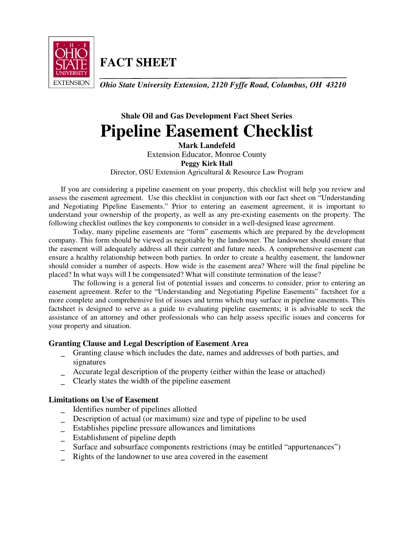

**FACT SHEET**

*Ohio State University Extension, 2120 Fyffe Road, Columbus, OH 43210* 

# **Shale Oil and Gas Development Fact Sheet Series Pipeline Easement Checklist**

**Mark Landefeld**  Extension Educator, Monroe County **Peggy Kirk Hall**  Director, OSU Extension Agricultural & Resource Law Program

If you are considering a pipeline easement on your property, this checklist will help you review and assess the easement agreement. Use this checklist in conjunction with our fact sheet on "Understanding and Negotiating Pipeline Easements." Prior to entering an easement agreement, it is important to understand your ownership of the property, as well as any pre-existing easements on the property. The following checklist outlines the key components to consider in a well-designed lease agreement.

 Today, many pipeline easements are "form" easements which are prepared by the development company. This form should be viewed as negotiable by the landowner. The landowner should ensure that the easement will adequately address all their current and future needs. A comprehensive easement can ensure a healthy relationship between both parties. In order to create a healthy easement, the landowner should consider a number of aspects. How wide is the easement area? Where will the final pipeline be placed? In what ways will I be compensated? What will constitute termination of the lease?

The following is a general list of potential issues and concerns to consider, prior to entering an easement agreement. Refer to the "Understanding and Negotiating Pipeline Easements" factsheet for a more complete and comprehensive list of issues and terms which may surface in pipeline easements. This factsheet is designed to serve as a guide to evaluating pipeline easements; it is advisable to seek the assistance of an attorney and other professionals who can help assess specific issues and concerns for your property and situation.

# **Granting Clause and Legal Description of Easement Area**

- \_ Granting clause which includes the date, names and addresses of both parties, and signatures
- Accurate legal description of the property (either within the lease or attached)
- \_ Clearly states the width of the pipeline easement

# **Limitations on Use of Easement**

- \_ Identifies number of pipelines allotted
- \_ Description of actual (or maximum) size and type of pipeline to be used
- \_ Establishes pipeline pressure allowances and limitations
- \_ Establishment of pipeline depth
- Surface and subsurface components restrictions (may be entitled "appurtenances")
- Rights of the landowner to use area covered in the easement